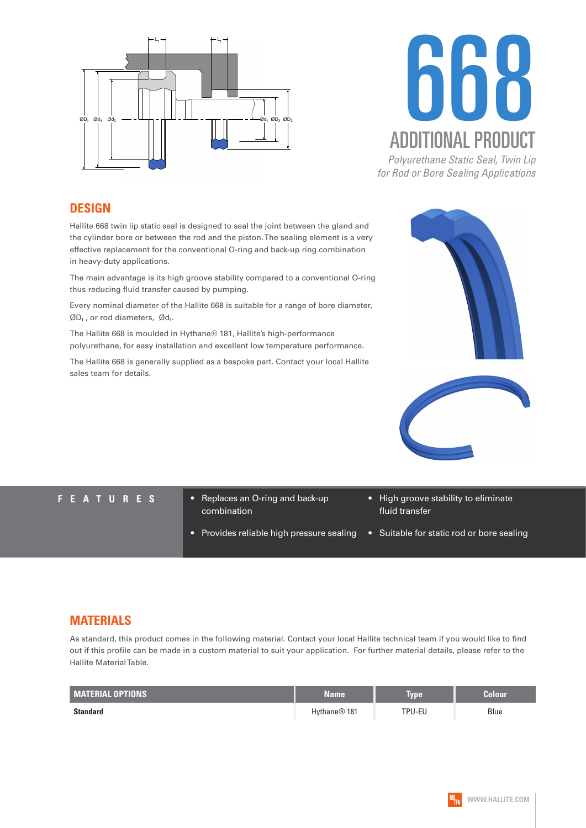



**DESIGN**

Hallite 668 twin lip static seal is designed to seal the joint between the gland and the cylinder bore or between the rod and the piston. The sealing element is a very effective replacement for the conventional O-ring and back-up ring combination in heavy-duty applications.

The main advantage is its high groove stability compared to a conventional O-ring thus reducing fluid transfer caused by pumping.

Every nominal diameter of the Hallite 668 is suitable for a range of bore diameter, ØD**₁** , or rod diameters, Ød**₁**.

The Hallite 668 is moulded in Hythane® 181, Hallite's high-performance polyurethane, for easy installation and excellent low temperature performance.

The Hallite 668 is generally supplied as a bespoke part. Contact your local Hallite sales team for details.





- **FEATURES** Replaces an O-ring and back-up combination
	- Provides reliable high pressure sealing
- High groove stability to eliminate fluid transfer
- Suitable for static rod or bore sealing

## **MATERIALS**

As standard, this product comes in the following material. Contact your local Hallite technical team if you would like to find out if this profile can be made in a custom material to suit your application. For further material details, please refer to the Hallite Material Table.

| <b>MATERIAL OPTIONS</b> | <b>Name</b>              | <b>Type</b> | Colour |
|-------------------------|--------------------------|-------------|--------|
| <b>Standard</b>         | Hythane <sup>®</sup> 181 | TPU-EU      | Blue   |